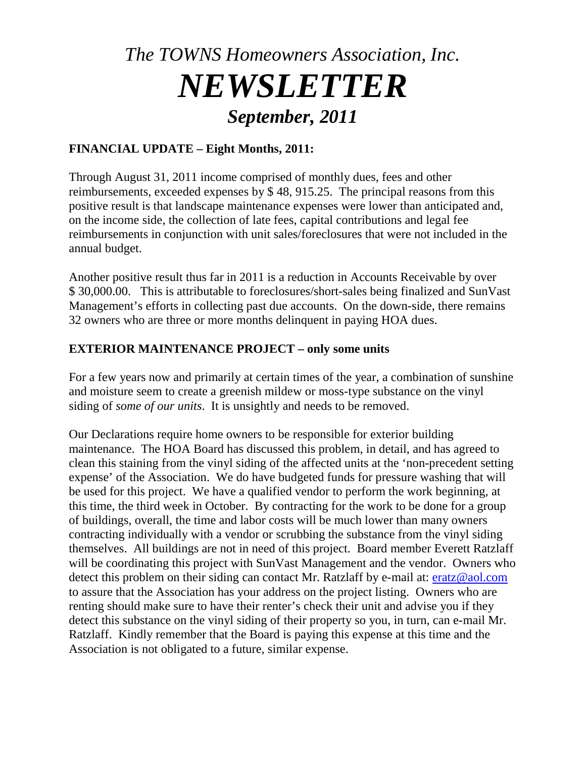## *The TOWNS Homeowners Association, Inc. NEWSLETTER September, 2011*

## **FINANCIAL UPDATE – Eight Months, 2011:**

Through August 31, 2011 income comprised of monthly dues, fees and other reimbursements, exceeded expenses by \$ 48, 915.25. The principal reasons from this positive result is that landscape maintenance expenses were lower than anticipated and, on the income side, the collection of late fees, capital contributions and legal fee reimbursements in conjunction with unit sales/foreclosures that were not included in the annual budget.

Another positive result thus far in 2011 is a reduction in Accounts Receivable by over \$ 30,000.00. This is attributable to foreclosures/short-sales being finalized and SunVast Management's efforts in collecting past due accounts. On the down-side, there remains 32 owners who are three or more months delinquent in paying HOA dues.

## **EXTERIOR MAINTENANCE PROJECT – only some units**

For a few years now and primarily at certain times of the year, a combination of sunshine and moisture seem to create a greenish mildew or moss-type substance on the vinyl siding of *some of our units*. It is unsightly and needs to be removed.

Our Declarations require home owners to be responsible for exterior building maintenance. The HOA Board has discussed this problem, in detail, and has agreed to clean this staining from the vinyl siding of the affected units at the 'non-precedent setting expense' of the Association. We do have budgeted funds for pressure washing that will be used for this project. We have a qualified vendor to perform the work beginning, at this time, the third week in October. By contracting for the work to be done for a group of buildings, overall, the time and labor costs will be much lower than many owners contracting individually with a vendor or scrubbing the substance from the vinyl siding themselves. All buildings are not in need of this project. Board member Everett Ratzlaff will be coordinating this project with SunVast Management and the vendor. Owners who detect this problem on their siding can contact Mr. Ratzlaff by e-mail at: [eratz@aol.com](mailto:eratz@aol.com) to assure that the Association has your address on the project listing. Owners who are renting should make sure to have their renter's check their unit and advise you if they detect this substance on the vinyl siding of their property so you, in turn, can e-mail Mr. Ratzlaff. Kindly remember that the Board is paying this expense at this time and the Association is not obligated to a future, similar expense.